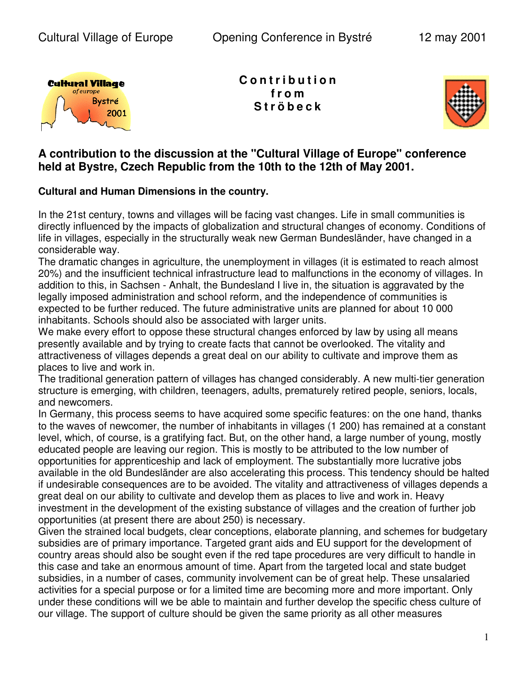

**C o n t r i b u t i o n f r o m S t r ö b e c k**



## **A contribution to the discussion at the "Cultural Village of Europe" conference held at Bystre, Czech Republic from the 10th to the 12th of May 2001.**

## **Cultural and Human Dimensions in the country.**

In the 21st century, towns and villages will be facing vast changes. Life in small communities is directly influenced by the impacts of globalization and structural changes of economy. Conditions of life in villages, especially in the structurally weak new German Bundesländer, have changed in a considerable way.

The dramatic changes in agriculture, the unemployment in villages (it is estimated to reach almost 20%) and the insufficient technical infrastructure lead to malfunctions in the economy of villages. In addition to this, in Sachsen - Anhalt, the Bundesland I live in, the situation is aggravated by the legally imposed administration and school reform, and the independence of communities is expected to be further reduced. The future administrative units are planned for about 10 000 inhabitants. Schools should also be associated with larger units.

We make every effort to oppose these structural changes enforced by law by using all means presently available and by trying to create facts that cannot be overlooked. The vitality and attractiveness of villages depends a great deal on our ability to cultivate and improve them as places to live and work in.

The traditional generation pattern of villages has changed considerably. A new multi-tier generation structure is emerging, with children, teenagers, adults, prematurely retired people, seniors, locals, and newcomers.

In Germany, this process seems to have acquired some specific features: on the one hand, thanks to the waves of newcomer, the number of inhabitants in villages (1 200) has remained at a constant level, which, of course, is a gratifying fact. But, on the other hand, a large number of young, mostly educated people are leaving our region. This is mostly to be attributed to the low number of opportunities for apprenticeship and lack of employment. The substantially more lucrative jobs available in the old Bundesländer are also accelerating this process. This tendency should be halted if undesirable consequences are to be avoided. The vitality and attractiveness of villages depends a great deal on our ability to cultivate and develop them as places to live and work in. Heavy investment in the development of the existing substance of villages and the creation of further job opportunities (at present there are about 250) is necessary.

Given the strained local budgets, clear conceptions, elaborate planning, and schemes for budgetary subsidies are of primary importance. Targeted grant aids and EU support for the development of country areas should also be sought even if the red tape procedures are very difficult to handle in this case and take an enormous amount of time. Apart from the targeted local and state budget subsidies, in a number of cases, community involvement can be of great help. These unsalaried activities for a special purpose or for a limited time are becoming more and more important. Only under these conditions will we be able to maintain and further develop the specific chess culture of our village. The support of culture should be given the same priority as all other measures